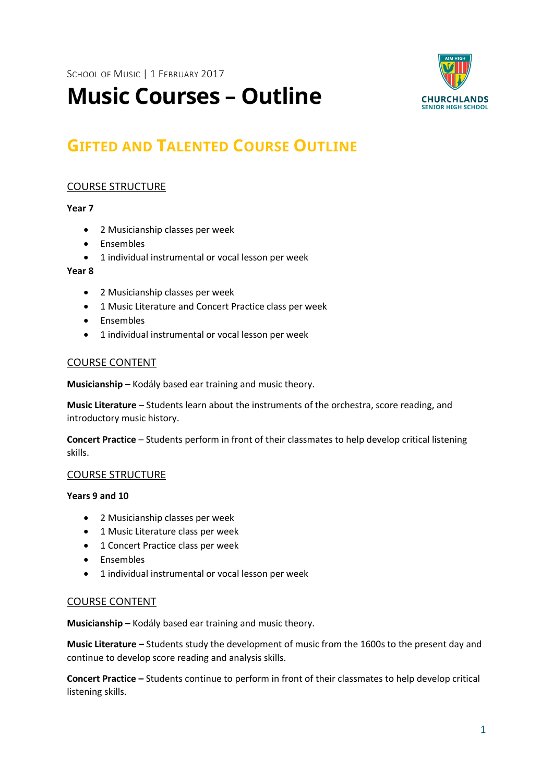

# **Music Courses – Outline**

# **GIFTED AND TALENTED COURSE OUTLINE**

# COURSE STRUCTURE

# **Year 7**

- 2 Musicianship classes per week
- Ensembles
- 1 individual instrumental or vocal lesson per week

#### **Year 8**

- 2 Musicianship classes per week
- 1 Music Literature and Concert Practice class per week
- Ensembles
- 1 individual instrumental or vocal lesson per week

# COURSE CONTENT

**Musicianship** – Kodály based ear training and music theory.

**Music Literature** – Students learn about the instruments of the orchestra, score reading, and introductory music history.

**Concert Practice** – Students perform in front of their classmates to help develop critical listening skills.

# COURSE STRUCTURE

#### **Years 9 and 10**

- 2 Musicianship classes per week
- 1 Music Literature class per week
- 1 Concert Practice class per week
- Ensembles
- 1 individual instrumental or vocal lesson per week

# COURSE CONTENT

**Musicianship –** Kodály based ear training and music theory.

**Music Literature –** Students study the development of music from the 1600s to the present day and continue to develop score reading and analysis skills.

**Concert Practice –** Students continue to perform in front of their classmates to help develop critical listening skills.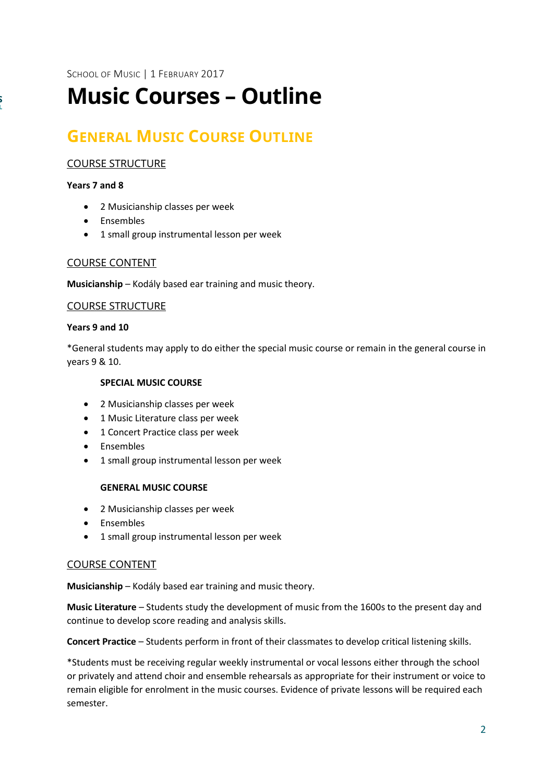SCHOOL OF MUSIC | 1 FEBRUARY 2017

# **Music Courses – Outline**

# **GENERAL MUSIC COURSE OUTLINE**

# COURSE STRUCTURE

#### **Years 7 and 8**

- 2 Musicianship classes per week
- Ensembles
- 1 small group instrumental lesson per week

#### COURSE CONTENT

**Musicianship** – Kodály based ear training and music theory.

#### COURSE STRUCTURE

#### **Years 9 and 10**

\*General students may apply to do either the special music course or remain in the general course in years 9 & 10.

# **SPECIAL MUSIC COURSE**

- 2 Musicianship classes per week
- 1 Music Literature class per week
- 1 Concert Practice class per week
- Ensembles
- 1 small group instrumental lesson per week

#### **GENERAL MUSIC COURSE**

- 2 Musicianship classes per week
- Ensembles
- 1 small group instrumental lesson per week

#### COURSE CONTENT

**Musicianship** – Kodály based ear training and music theory.

**Music Literature** – Students study the development of music from the 1600s to the present day and continue to develop score reading and analysis skills.

**Concert Practice** – Students perform in front of their classmates to develop critical listening skills.

\*Students must be receiving regular weekly instrumental or vocal lessons either through the school or privately and attend choir and ensemble rehearsals as appropriate for their instrument or voice to remain eligible for enrolment in the music courses. Evidence of private lessons will be required each semester.